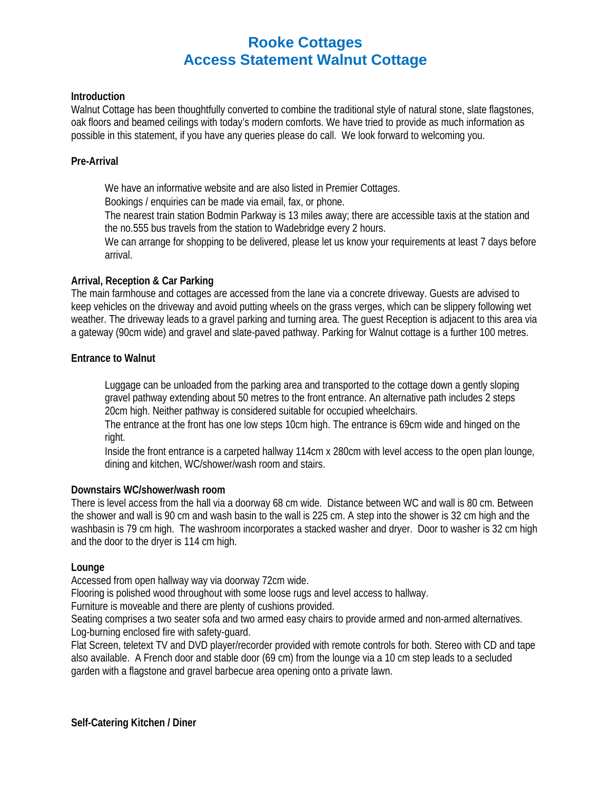# **Rooke Cottages Access Statement Walnut Cottage**

# **Introduction**

Walnut Cottage has been thoughtfully converted to combine the traditional style of natural stone, slate flagstones, oak floors and beamed ceilings with today's modern comforts. We have tried to provide as much information as possible in this statement, if you have any queries please do call. We look forward to welcoming you.

# **Pre-Arrival**

We have an informative website and are also listed in Premier Cottages.

Bookings / enquiries can be made via email, fax, or phone.

The nearest train station Bodmin Parkway is 13 miles away; there are accessible taxis at the station and the no.555 bus travels from the station to Wadebridge every 2 hours.

We can arrange for shopping to be delivered, please let us know your requirements at least 7 days before arrival.

# **Arrival, Reception & Car Parking**

The main farmhouse and cottages are accessed from the lane via a concrete driveway. Guests are advised to keep vehicles on the driveway and avoid putting wheels on the grass verges, which can be slippery following wet weather. The driveway leads to a gravel parking and turning area. The guest Reception is adjacent to this area via a gateway (90cm wide) and gravel and slate-paved pathway. Parking for Walnut cottage is a further 100 metres.

# **Entrance to Walnut**

Luggage can be unloaded from the parking area and transported to the cottage down a gently sloping gravel pathway extending about 50 metres to the front entrance. An alternative path includes 2 steps 20cm high. Neither pathway is considered suitable for occupied wheelchairs.

The entrance at the front has one low steps 10cm high. The entrance is 69cm wide and hinged on the right.

Inside the front entrance is a carpeted hallway 114cm x 280cm with level access to the open plan lounge, dining and kitchen, WC/shower/wash room and stairs.

#### **Downstairs WC/shower/wash room**

There is level access from the hall via a doorway 68 cm wide. Distance between WC and wall is 80 cm. Between the shower and wall is 90 cm and wash basin to the wall is 225 cm. A step into the shower is 32 cm high and the washbasin is 79 cm high. The washroom incorporates a stacked washer and dryer. Door to washer is 32 cm high and the door to the dryer is 114 cm high.

#### **Lounge**

Accessed from open hallway way via doorway 72cm wide.

Flooring is polished wood throughout with some loose rugs and level access to hallway.

Furniture is moveable and there are plenty of cushions provided.

Seating comprises a two seater sofa and two armed easy chairs to provide armed and non-armed alternatives. Log-burning enclosed fire with safety-guard.

Flat Screen, teletext TV and DVD player/recorder provided with remote controls for both. Stereo with CD and tape also available. A French door and stable door (69 cm) from the lounge via a 10 cm step leads to a secluded garden with a flagstone and gravel barbecue area opening onto a private lawn.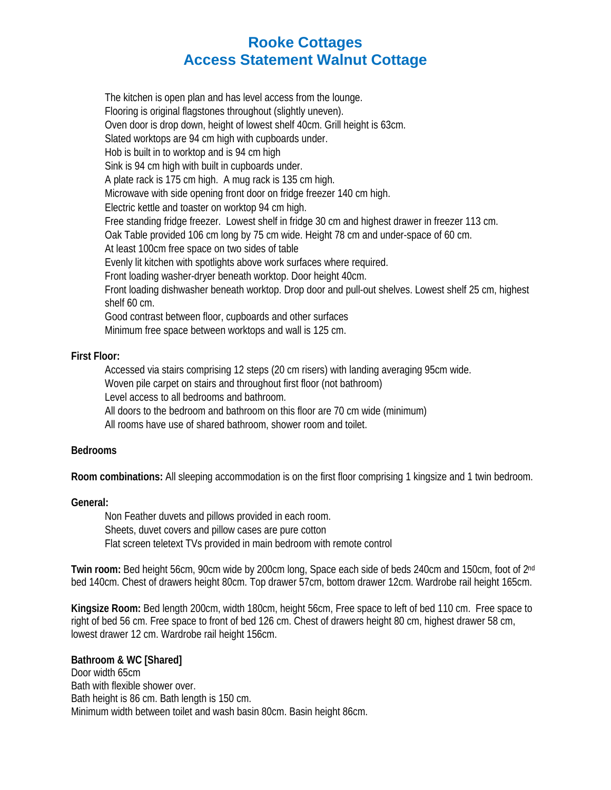# **Rooke Cottages Access Statement Walnut Cottage**

The kitchen is open plan and has level access from the lounge. Flooring is original flagstones throughout (slightly uneven). Oven door is drop down, height of lowest shelf 40cm. Grill height is 63cm. Slated worktops are 94 cm high with cupboards under. Hob is built in to worktop and is 94 cm high Sink is 94 cm high with built in cupboards under. A plate rack is 175 cm high. A mug rack is 135 cm high. Microwave with side opening front door on fridge freezer 140 cm high. Electric kettle and toaster on worktop 94 cm high. Free standing fridge freezer. Lowest shelf in fridge 30 cm and highest drawer in freezer 113 cm. Oak Table provided 106 cm long by 75 cm wide. Height 78 cm and under-space of 60 cm. At least 100cm free space on two sides of table Evenly lit kitchen with spotlights above work surfaces where required. Front loading washer-dryer beneath worktop. Door height 40cm. Front loading dishwasher beneath worktop. Drop door and pull-out shelves. Lowest shelf 25 cm, highest shelf 60 cm. Good contrast between floor, cupboards and other surfaces Minimum free space between worktops and wall is 125 cm.

# **First Floor:**

Accessed via stairs comprising 12 steps (20 cm risers) with landing averaging 95cm wide. Woven pile carpet on stairs and throughout first floor (not bathroom) Level access to all bedrooms and bathroom. All doors to the bedroom and bathroom on this floor are 70 cm wide (minimum)

All rooms have use of shared bathroom, shower room and toilet.

# **Bedrooms**

**Room combinations:** All sleeping accommodation is on the first floor comprising 1 kingsize and 1 twin bedroom.

# **General:**

Non Feather duvets and pillows provided in each room. Sheets, duvet covers and pillow cases are pure cotton Flat screen teletext TVs provided in main bedroom with remote control

**Twin room:** Bed height 56cm, 90cm wide by 200cm long, Space each side of beds 240cm and 150cm, foot of 2nd bed 140cm. Chest of drawers height 80cm. Top drawer 57cm, bottom drawer 12cm. Wardrobe rail height 165cm.

**Kingsize Room:** Bed length 200cm, width 180cm, height 56cm, Free space to left of bed 110 cm. Free space to right of bed 56 cm. Free space to front of bed 126 cm. Chest of drawers height 80 cm, highest drawer 58 cm, lowest drawer 12 cm. Wardrobe rail height 156cm.

# **Bathroom & WC [Shared]**

Door width 65cm Bath with flexible shower over. Bath height is 86 cm. Bath length is 150 cm. Minimum width between toilet and wash basin 80cm. Basin height 86cm.